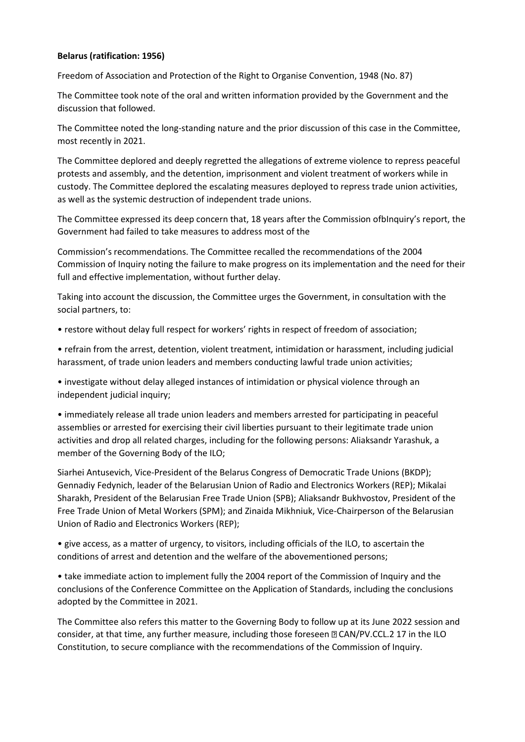## **Belarus (ratification: 1956)**

Freedom of Association and Protection of the Right to Organise Convention, 1948 (No. 87)

The Committee took note of the oral and written information provided by the Government and the discussion that followed.

The Committee noted the long-standing nature and the prior discussion of this case in the Committee, most recently in 2021.

The Committee deplored and deeply regretted the allegations of extreme violence to repress peaceful protests and assembly, and the detention, imprisonment and violent treatment of workers while in custody. The Committee deplored the escalating measures deployed to repress trade union activities, as well as the systemic destruction of independent trade unions.

The Committee expressed its deep concern that, 18 years after the Commission ofbInquiry's report, the Government had failed to take measures to address most of the

Commission's recommendations. The Committee recalled the recommendations of the 2004 Commission of Inquiry noting the failure to make progress on its implementation and the need for their full and effective implementation, without further delay.

Taking into account the discussion, the Committee urges the Government, in consultation with the social partners, to:

- restore without delay full respect for workers' rights in respect of freedom of association;
- refrain from the arrest, detention, violent treatment, intimidation or harassment, including judicial harassment, of trade union leaders and members conducting lawful trade union activities;

• investigate without delay alleged instances of intimidation or physical violence through an independent judicial inquiry;

• immediately release all trade union leaders and members arrested for participating in peaceful assemblies or arrested for exercising their civil liberties pursuant to their legitimate trade union activities and drop all related charges, including for the following persons: Aliaksandr Yarashuk, a member of the Governing Body of the ILO;

Siarhei Antusevich, Vice-President of the Belarus Congress of Democratic Trade Unions (BKDP); Gennadiy Fedynich, leader of the Belarusian Union of Radio and Electronics Workers (REP); Mikalai Sharakh, President of the Belarusian Free Trade Union (SPB); Aliaksandr Bukhvostov, President of the Free Trade Union of Metal Workers (SPM); and Zinaida Mikhniuk, Vice-Chairperson of the Belarusian Union of Radio and Electronics Workers (REP);

• give access, as a matter of urgency, to visitors, including officials of the ILO, to ascertain the conditions of arrest and detention and the welfare of the abovementioned persons;

• take immediate action to implement fully the 2004 report of the Commission of Inquiry and the conclusions of the Conference Committee on the Application of Standards, including the conclusions adopted by the Committee in 2021.

The Committee also refers this matter to the Governing Body to follow up at its June 2022 session and consider, at that time, any further measure, including those foreseen  $\mathbb D$  CAN/PV.CCL.2 17 in the ILO Constitution, to secure compliance with the recommendations of the Commission of Inquiry.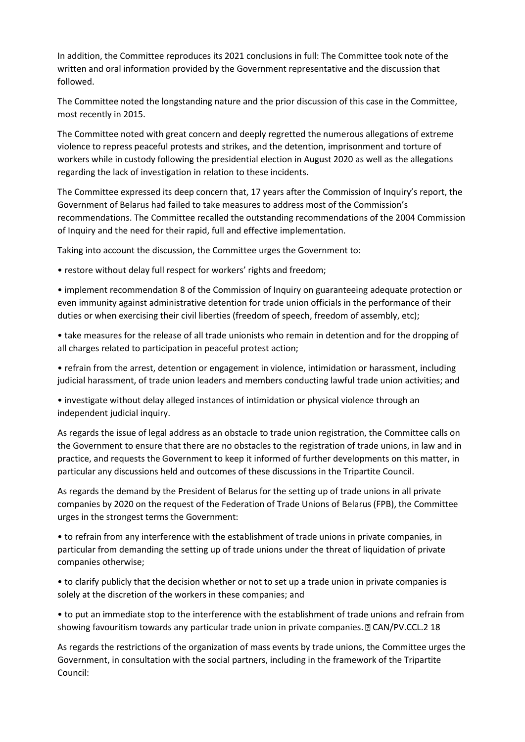In addition, the Committee reproduces its 2021 conclusions in full: The Committee took note of the written and oral information provided by the Government representative and the discussion that followed.

The Committee noted the longstanding nature and the prior discussion of this case in the Committee, most recently in 2015.

The Committee noted with great concern and deeply regretted the numerous allegations of extreme violence to repress peaceful protests and strikes, and the detention, imprisonment and torture of workers while in custody following the presidential election in August 2020 as well as the allegations regarding the lack of investigation in relation to these incidents.

The Committee expressed its deep concern that, 17 years after the Commission of Inquiry's report, the Government of Belarus had failed to take measures to address most of the Commission's recommendations. The Committee recalled the outstanding recommendations of the 2004 Commission of Inquiry and the need for their rapid, full and effective implementation.

Taking into account the discussion, the Committee urges the Government to:

• restore without delay full respect for workers' rights and freedom;

• implement recommendation 8 of the Commission of Inquiry on guaranteeing adequate protection or even immunity against administrative detention for trade union officials in the performance of their duties or when exercising their civil liberties (freedom of speech, freedom of assembly, etc);

• take measures for the release of all trade unionists who remain in detention and for the dropping of all charges related to participation in peaceful protest action;

• refrain from the arrest, detention or engagement in violence, intimidation or harassment, including judicial harassment, of trade union leaders and members conducting lawful trade union activities; and

• investigate without delay alleged instances of intimidation or physical violence through an independent judicial inquiry.

As regards the issue of legal address as an obstacle to trade union registration, the Committee calls on the Government to ensure that there are no obstacles to the registration of trade unions, in law and in practice, and requests the Government to keep it informed of further developments on this matter, in particular any discussions held and outcomes of these discussions in the Tripartite Council.

As regards the demand by the President of Belarus for the setting up of trade unions in all private companies by 2020 on the request of the Federation of Trade Unions of Belarus (FPB), the Committee urges in the strongest terms the Government:

• to refrain from any interference with the establishment of trade unions in private companies, in particular from demanding the setting up of trade unions under the threat of liquidation of private companies otherwise;

• to clarify publicly that the decision whether or not to set up a trade union in private companies is solely at the discretion of the workers in these companies; and

• to put an immediate stop to the interference with the establishment of trade unions and refrain from showing favouritism towards any particular trade union in private companies.  $\mathbb{D}$  CAN/PV.CCL.2 18

As regards the restrictions of the organization of mass events by trade unions, the Committee urges the Government, in consultation with the social partners, including in the framework of the Tripartite Council: